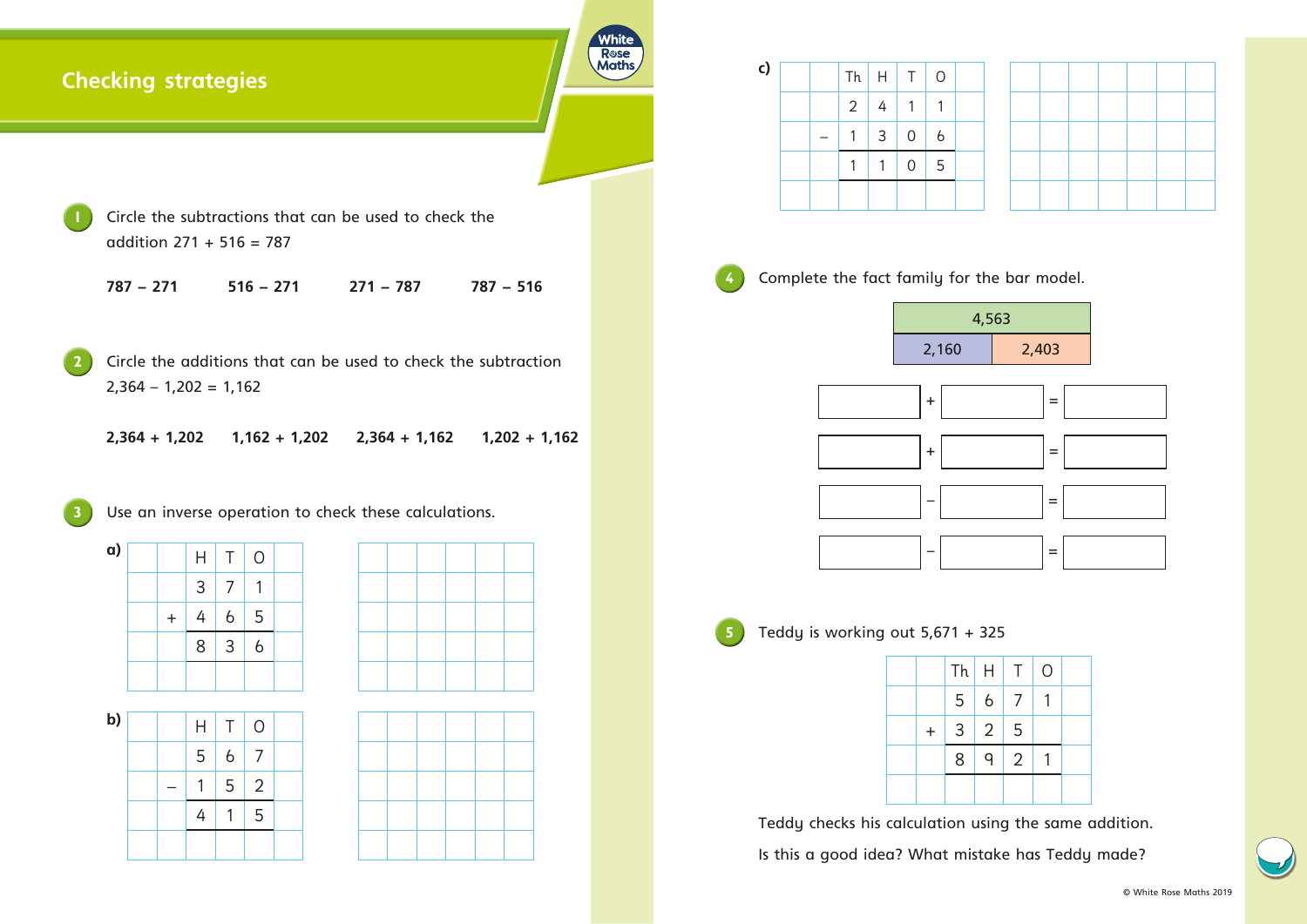## **Checking strategies**

**1** Circle the subtractions that can be used to check the addition 271 + 516 = 787

**2** Circle the additions that can be used to check the subtraction  $2,364 - 1,202 = 1,162$ 

| $787 - 271$ | $516 - 271$ | $271 - 787$ | $787 - 516$ |
|-------------|-------------|-------------|-------------|
|             |             |             |             |

**2,364 + 1,202 1,162 + 1,202 2,364 + 1,162 1,202 + 1,162**

Use an inverse operation to check these calculations.





**a)**  $H$  T O  $3 \mid 7 \mid 1$  $+ 4 6 5$ 8 3 6

Teddy checks his calculation using the same addition.

| b) |  | $\mathsf{H}$ | T.             | $\overline{O}$ |  |
|----|--|--------------|----------------|----------------|--|
|    |  | 5            | $\overline{6}$ | $\overline{7}$ |  |
|    |  | 1            | 5              | $\overline{2}$ |  |
|    |  | 4            |                | 5              |  |
|    |  |              |                |                |  |



| $\mathsf{c})$ |  |                | $Th$ $H$       | $\top$         | $\overline{O}$ |  |
|---------------|--|----------------|----------------|----------------|----------------|--|
|               |  | 2 <sup>1</sup> | $\overline{4}$ |                |                |  |
|               |  |                | $\mathsf{3}$   | $\overline{0}$ | $\overline{6}$ |  |
|               |  |                | 1              | $\overline{0}$ | 5              |  |
|               |  |                |                |                |                |  |

White **R**ose **Maths** 

Complete the fact family for the bar model.

|           | 4,5 |
|-----------|-----|
| 2,160     |     |
| $\ddot{}$ |     |
|           |     |
| $\ddot{}$ |     |
|           |     |
|           |     |
|           |     |

Teddy is working out  $5,671 + 325$ 

Is this a good idea? What mistake has Teddy made?

|           | $Th$ $H$ |                | $\top$ | $\overline{O}$ |  |
|-----------|----------|----------------|--------|----------------|--|
|           | 5        | $\overline{6}$ | 7      |                |  |
| $\ddot{}$ | $3 \mid$ | 2              | 5      |                |  |
|           | 8        | 9              | 2      |                |  |
|           |          |                |        |                |  |